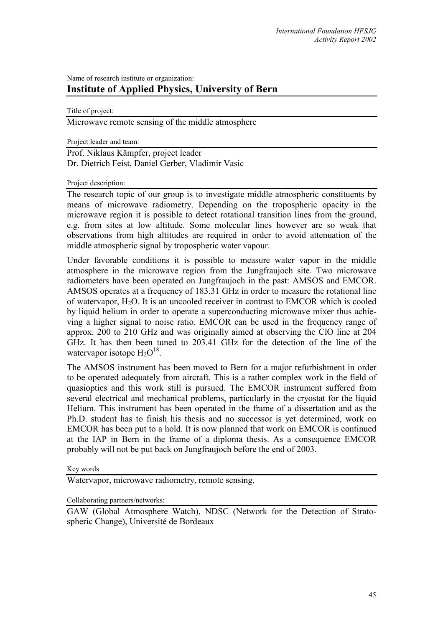## Name of research institute or organization: **Institute of Applied Physics, University of Bern**

Title of project:

Microwave remote sensing of the middle atmosphere

Project leader and team:

Prof. Niklaus Kämpfer, project leader Dr. Dietrich Feist, Daniel Gerber, Vladimir Vasic

## Project description:

The research topic of our group is to investigate middle atmospheric constituents by means of microwave radiometry. Depending on the tropospheric opacity in the microwave region it is possible to detect rotational transition lines from the ground, e.g. from sites at low altitude. Some molecular lines however are so weak that observations from high altitudes are required in order to avoid attenuation of the middle atmospheric signal by tropospheric water vapour.

Under favorable conditions it is possible to measure water vapor in the middle atmosphere in the microwave region from the Jungfraujoch site. Two microwave radiometers have been operated on Jungfraujoch in the past: AMSOS and EMCOR. AMSOS operates at a frequency of 183.31 GHz in order to measure the rotational line of watervapor,  $H_2O$ . It is an uncooled receiver in contrast to EMCOR which is cooled by liquid helium in order to operate a superconducting microwave mixer thus achieving a higher signal to noise ratio. EMCOR can be used in the frequency range of approx. 200 to 210 GHz and was originally aimed at observing the ClO line at 204 GHz. It has then been tuned to 203.41 GHz for the detection of the line of the watervapor isotope  $H_2O^{18}$ .

The AMSOS instrument has been moved to Bern for a major refurbishment in order to be operated adequately from aircraft. This is a rather complex work in the field of quasioptics and this work still is pursued. The EMCOR instrument suffered from several electrical and mechanical problems, particularly in the cryostat for the liquid Helium. This instrument has been operated in the frame of a dissertation and as the Ph.D. student has to finish his thesis and no successor is yet determined, work on EMCOR has been put to a hold. It is now planned that work on EMCOR is continued at the IAP in Bern in the frame of a diploma thesis. As a consequence EMCOR probably will not be put back on Jungfraujoch before the end of 2003.

Key words

Watervapor, microwave radiometry, remote sensing,

Collaborating partners/networks:

GAW (Global Atmosphere Watch), NDSC (Network for the Detection of Stratospheric Change), Université de Bordeaux